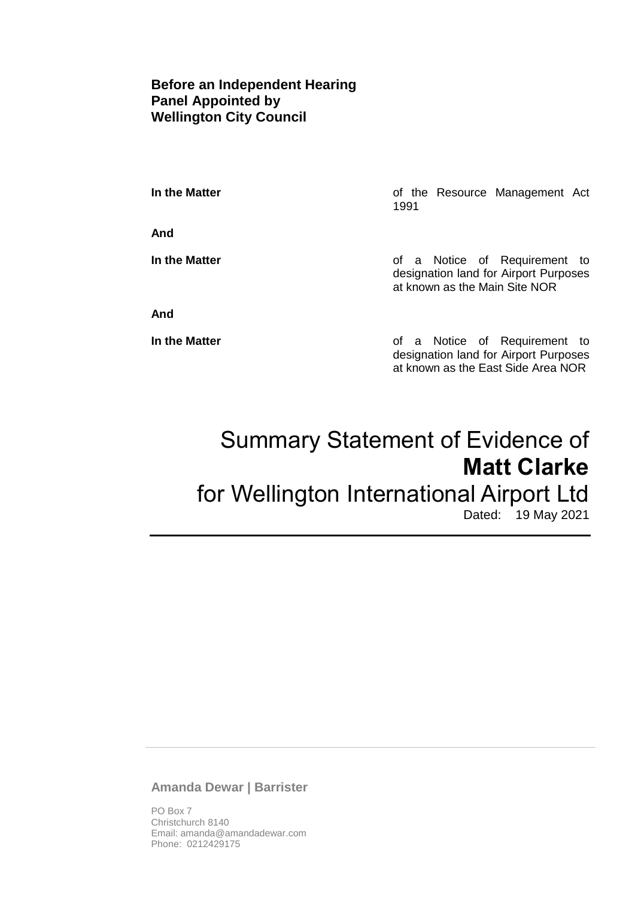## **Before an Independent Hearing Panel Appointed by Wellington City Council**

**And**

**In the Matter In the Matter of the Resource Management Act** 1991

**In the Matter In the Matter of a Notice of Requirement to** designation land for Airport Purposes at known as the Main Site NOR

**And**

**In the Matter In the Matter of a Notice of Requirement to** designation land for Airport Purposes at known as the East Side Area NOR

# Summary Statement of Evidence of **Matt Clarke** for Wellington International Airport Ltd Dated: 19 May 2021

## **Amanda Dewar | Barrister**

PO Box 7 Christchurch 8140 Email: amanda@amandadewar.com Phone: 0212429175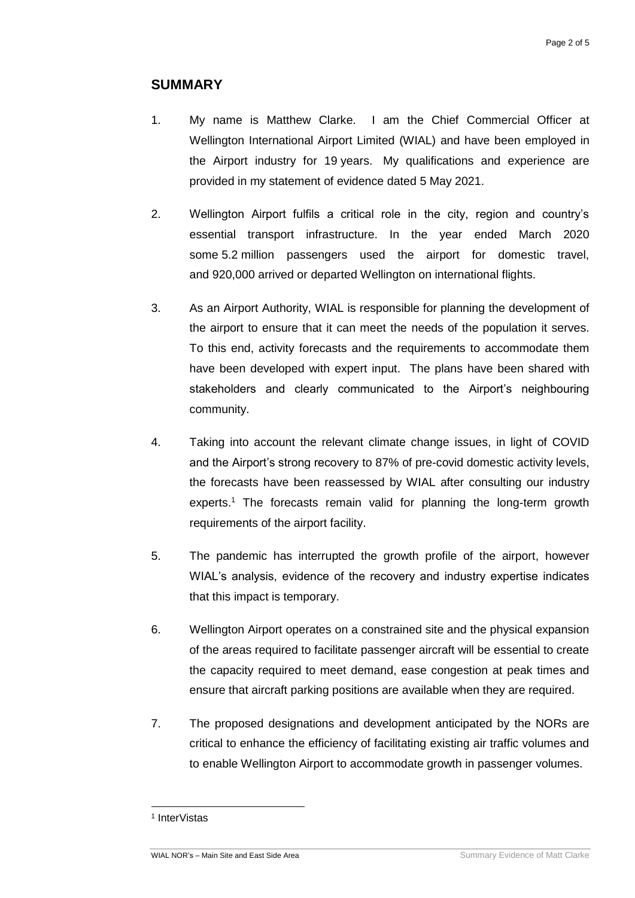## **SUMMARY**

- 1. My name is Matthew Clarke. I am the Chief Commercial Officer at Wellington International Airport Limited (WIAL) and have been employed in the Airport industry for 19 years. My qualifications and experience are provided in my statement of evidence dated 5 May 2021.
- 2. Wellington Airport fulfils a critical role in the city, region and country's essential transport infrastructure. In the year ended March 2020 some 5.2 million passengers used the airport for domestic travel, and 920,000 arrived or departed Wellington on international flights.
- 3. As an Airport Authority, WIAL is responsible for planning the development of the airport to ensure that it can meet the needs of the population it serves. To this end, activity forecasts and the requirements to accommodate them have been developed with expert input. The plans have been shared with stakeholders and clearly communicated to the Airport's neighbouring community.
- 4. Taking into account the relevant climate change issues, in light of COVID and the Airport's strong recovery to 87% of pre-covid domestic activity levels, the forecasts have been reassessed by WIAL after consulting our industry experts. <sup>1</sup> The forecasts remain valid for planning the long-term growth requirements of the airport facility.
- 5. The pandemic has interrupted the growth profile of the airport, however WIAL's analysis, evidence of the recovery and industry expertise indicates that this impact is temporary.
- 6. Wellington Airport operates on a constrained site and the physical expansion of the areas required to facilitate passenger aircraft will be essential to create the capacity required to meet demand, ease congestion at peak times and ensure that aircraft parking positions are available when they are required.
- 7. The proposed designations and development anticipated by the NORs are critical to enhance the efficiency of facilitating existing air traffic volumes and to enable Wellington Airport to accommodate growth in passenger volumes.

1

<sup>1</sup> InterVistas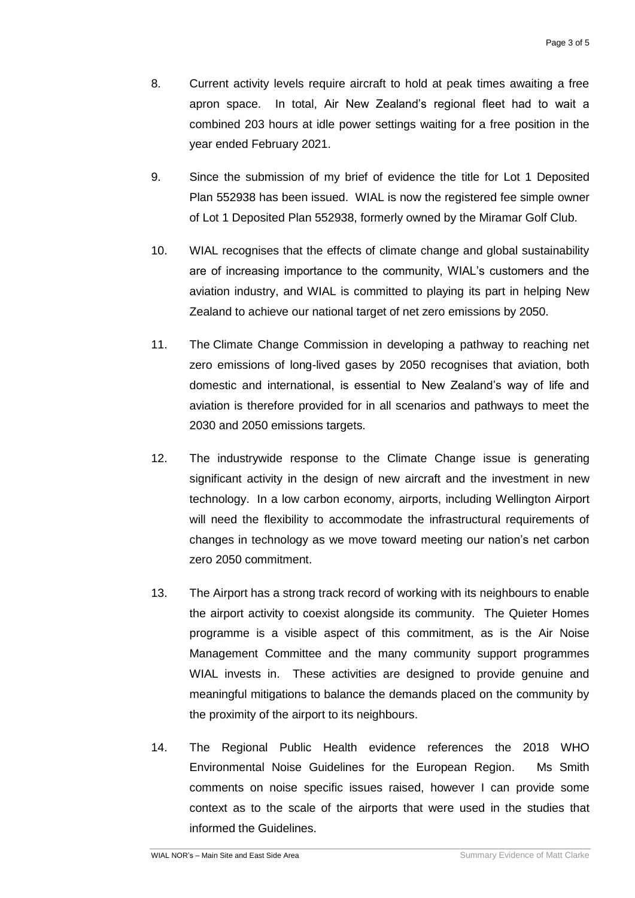- 8. Current activity levels require aircraft to hold at peak times awaiting a free apron space. In total, Air New Zealand's regional fleet had to wait a combined 203 hours at idle power settings waiting for a free position in the year ended February 2021.
- 9. Since the submission of my brief of evidence the title for Lot 1 Deposited Plan 552938 has been issued. WIAL is now the registered fee simple owner of Lot 1 Deposited Plan 552938, formerly owned by the Miramar Golf Club.
- 10. WIAL recognises that the effects of climate change and global sustainability are of increasing importance to the community, WIAL's customers and the aviation industry, and WIAL is committed to playing its part in helping New Zealand to achieve our national target of net zero emissions by 2050.
- 11. The Climate Change Commission in developing a pathway to reaching net zero emissions of long-lived gases by 2050 recognises that aviation, both domestic and international, is essential to New Zealand's way of life and aviation is therefore provided for in all scenarios and pathways to meet the 2030 and 2050 emissions targets.
- 12. The industrywide response to the Climate Change issue is generating significant activity in the design of new aircraft and the investment in new technology. In a low carbon economy, airports, including Wellington Airport will need the flexibility to accommodate the infrastructural requirements of changes in technology as we move toward meeting our nation's net carbon zero 2050 commitment.
- 13. The Airport has a strong track record of working with its neighbours to enable the airport activity to coexist alongside its community. The Quieter Homes programme is a visible aspect of this commitment, as is the Air Noise Management Committee and the many community support programmes WIAL invests in. These activities are designed to provide genuine and meaningful mitigations to balance the demands placed on the community by the proximity of the airport to its neighbours.
- 14. The Regional Public Health evidence references the 2018 WHO Environmental Noise Guidelines for the European Region. Ms Smith comments on noise specific issues raised, however I can provide some context as to the scale of the airports that were used in the studies that informed the Guidelines.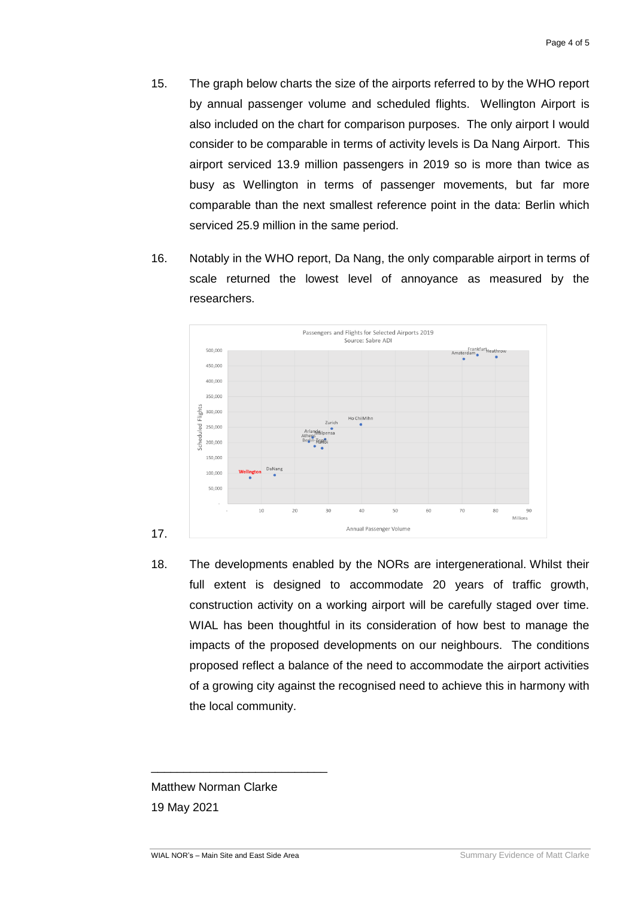- 15. The graph below charts the size of the airports referred to by the WHO report by annual passenger volume and scheduled flights. Wellington Airport is also included on the chart for comparison purposes. The only airport I would consider to be comparable in terms of activity levels is Da Nang Airport. This airport serviced 13.9 million passengers in 2019 so is more than twice as busy as Wellington in terms of passenger movements, but far more comparable than the next smallest reference point in the data: Berlin which serviced 25.9 million in the same period.
- 16. Notably in the WHO report, Da Nang, the only comparable airport in terms of scale returned the lowest level of annoyance as measured by the researchers.



18. The developments enabled by the NORs are intergenerational. Whilst their full extent is designed to accommodate 20 years of traffic growth, construction activity on a working airport will be carefully staged over time. WIAL has been thoughtful in its consideration of how best to manage the impacts of the proposed developments on our neighbours. The conditions proposed reflect a balance of the need to accommodate the airport activities of a growing city against the recognised need to achieve this in harmony with the local community.

Matthew Norman Clarke 19 May 2021

\_\_\_\_\_\_\_\_\_\_\_\_\_\_\_\_\_\_\_\_\_\_\_\_\_\_\_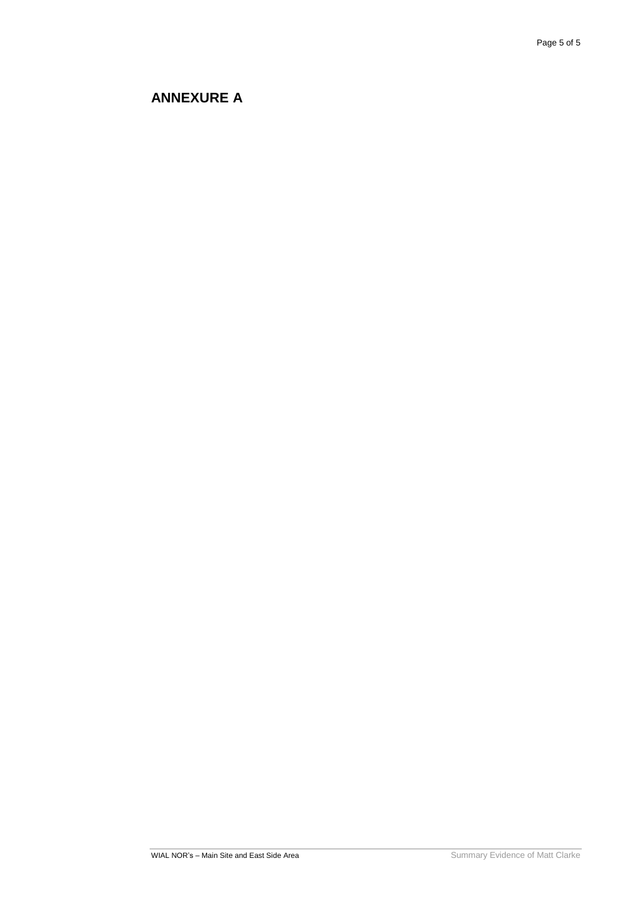## **ANNEXURE A**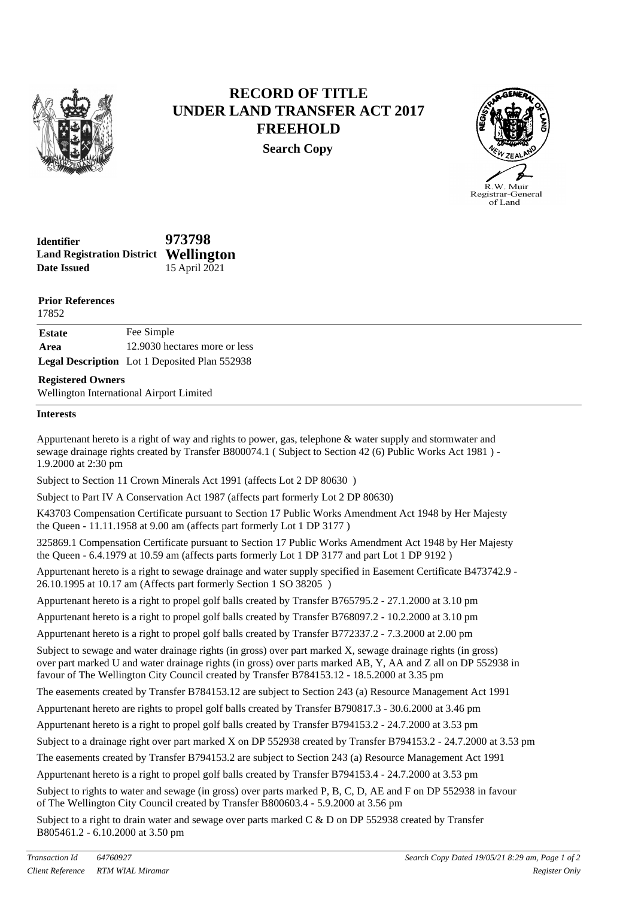

## **RECORD OF TITLE UNDER LAND TRANSFER ACT 2017 FREEHOLD**

**Search Copy**



| <b>Identifier</b>                            | 973798        |
|----------------------------------------------|---------------|
| <b>Land Registration District Wellington</b> |               |
| <b>Date Issued</b>                           | 15 April 2021 |

**Prior References**

| 17852         |                                                      |
|---------------|------------------------------------------------------|
| <b>Estate</b> | Fee Simple                                           |
| Area          | 12.9030 hectares more or less                        |
|               | <b>Legal Description</b> Lot 1 Deposited Plan 552938 |
|               |                                                      |

### **Registered Owners**

Wellington International Airport Limited

#### **Interests**

Appurtenant hereto is a right of way and rights to power, gas, telephone & water supply and stormwater and sewage drainage rights created by Transfer B800074.1 ( Subject to Section 42 (6) Public Works Act 1981 ) - 1.9.2000 at 2:30 pm

Subject to Section 11 Crown Minerals Act 1991 (affects Lot 2 DP 80630 )

Subject to Part IV A Conservation Act 1987 (affects part formerly Lot 2 DP 80630)

K43703 Compensation Certificate pursuant to Section 17 Public Works Amendment Act 1948 by Her Majesty the Queen - 11.11.1958 at 9.00 am (affects part formerly Lot 1 DP 3177 )

325869.1 Compensation Certificate pursuant to Section 17 Public Works Amendment Act 1948 by Her Majesty the Queen - 6.4.1979 at 10.59 am (affects parts formerly Lot 1 DP 3177 and part Lot 1 DP 9192 )

Appurtenant hereto is a right to sewage drainage and water supply specified in Easement Certificate B473742.9 - 26.10.1995 at 10.17 am (Affects part formerly Section 1 SO 38205 )

Appurtenant hereto is a right to propel golf balls created by Transfer B765795.2 - 27.1.2000 at 3.10 pm

Appurtenant hereto is a right to propel golf balls created by Transfer B768097.2 - 10.2.2000 at 3.10 pm

Appurtenant hereto is a right to propel golf balls created by Transfer B772337.2 - 7.3.2000 at 2.00 pm

Subject to sewage and water drainage rights (in gross) over part marked X, sewage drainage rights (in gross) over part marked U and water drainage rights (in gross) over parts marked AB, Y, AA and Z all on DP 552938 in favour of The Wellington City Council created by Transfer B784153.12 - 18.5.2000 at 3.35 pm

The easements created by Transfer B784153.12 are subject to Section 243 (a) Resource Management Act 1991

Appurtenant hereto are rights to propel golf balls created by Transfer B790817.3 - 30.6.2000 at 3.46 pm

Appurtenant hereto is a right to propel golf balls created by Transfer B794153.2 - 24.7.2000 at 3.53 pm

Subject to a drainage right over part marked X on DP 552938 created by Transfer B794153.2 - 24.7.2000 at 3.53 pm

The easements created by Transfer B794153.2 are subject to Section 243 (a) Resource Management Act 1991

Appurtenant hereto is a right to propel golf balls created by Transfer B794153.4 - 24.7.2000 at 3.53 pm

Subject to rights to water and sewage (in gross) over parts marked P, B, C, D, AE and F on DP 552938 in favour of The Wellington City Council created by Transfer B800603.4 - 5.9.2000 at 3.56 pm

Subject to a right to drain water and sewage over parts marked C & D on DP 552938 created by Transfer B805461.2 - 6.10.2000 at 3.50 pm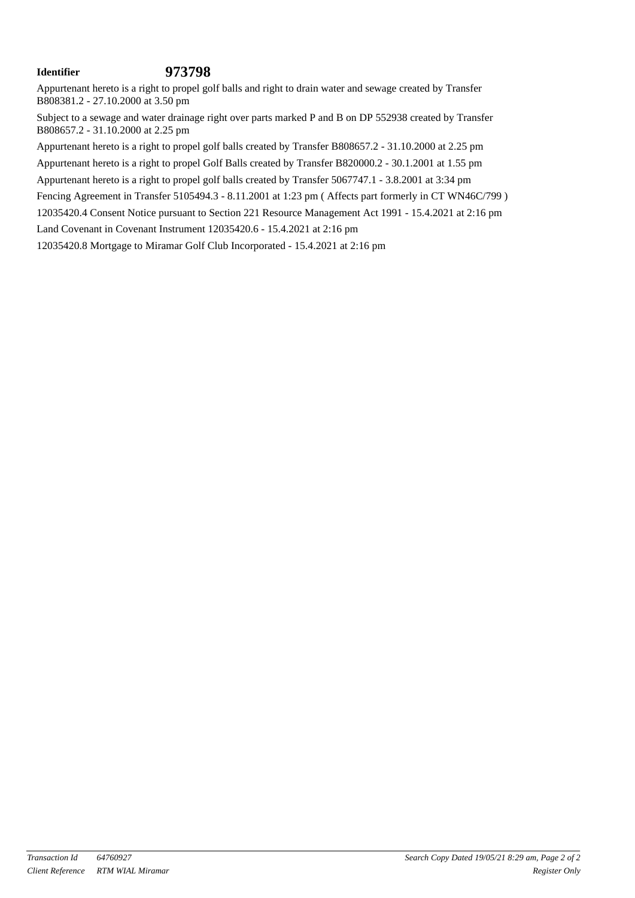## **Identifier 973798**

Appurtenant hereto is a right to propel golf balls and right to drain water and sewage created by Transfer B808381.2 - 27.10.2000 at 3.50 pm

Subject to a sewage and water drainage right over parts marked P and B on DP 552938 created by Transfer B808657.2 - 31.10.2000 at 2.25 pm

Appurtenant hereto is a right to propel golf balls created by Transfer B808657.2 - 31.10.2000 at 2.25 pm

Appurtenant hereto is a right to propel Golf Balls created by Transfer B820000.2 - 30.1.2001 at 1.55 pm

Appurtenant hereto is a right to propel golf balls created by Transfer 5067747.1 - 3.8.2001 at 3:34 pm

Fencing Agreement in Transfer 5105494.3 - 8.11.2001 at 1:23 pm (Affects part formerly in CT WN46C/799)

12035420.4 Consent Notice pursuant to Section 221 Resource Management Act 1991 - 15.4.2021 at 2:16 pm

Land Covenant in Covenant Instrument 12035420.6 - 15.4.2021 at 2:16 pm

12035420.8 Mortgage to Miramar Golf Club Incorporated - 15.4.2021 at 2:16 pm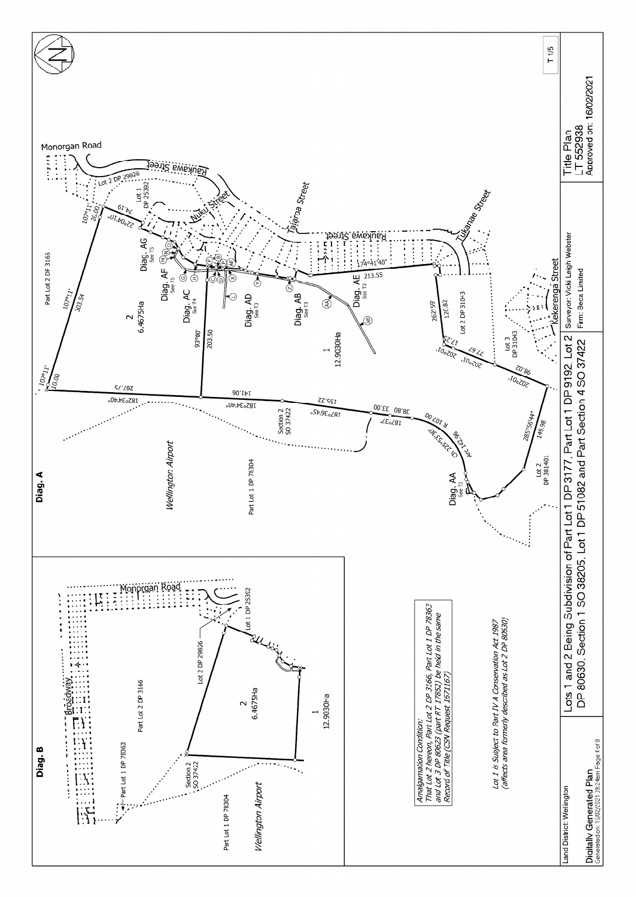